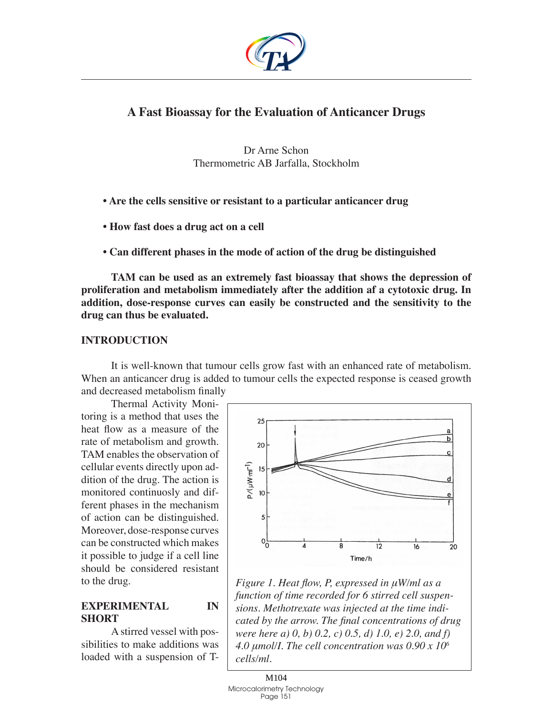

# **A Fast Bioassay for the Evaluation of Anticancer Drugs**

Dr Arne Schon Thermometric AB Jarfalla, Stockholm

- **Are the cells sensitive or resistant to a particular anticancer drug**
- **How fast does a drug act on a cell**
- **Can different phases in the mode of action of the drug be distinguished**

**TAM can be used as an extremely fast bioassay that shows the depression of proliferation and metabolism immediately after the addition af a cytotoxic drug. In addition, dose-response curves can easily be constructed and the sensitivity to the drug can thus be evaluated.** 

### **Introduction**

It is well-known that tumour cells grow fast with an enhanced rate of metabolism. When an anticancer drug is added to tumour cells the expected response is ceased growth and decreased metabolism finally

Thermal Activity Monitoring is a method that uses the heat flow as a measure of the rate of metabolism and growth. TAM enables the observation of cellular events directly upon addition of the drug. The action is monitored continuosly and different phases in the mechanism of action can be distinguished. Moreover, dose-response curves can be constructed which makes it possible to judge if a cell line should be considered resistant to the drug.

## **Experimental in short**

A stirred vessel with possibilities to make additions was loaded with a suspension of T-



*Figure 1. Heat flow, P, expressed in μW/ml as a function of time recorded for 6 stirred cell suspensions. Methotrexate was injected at the time indicated by the arrow. The final concentrations of drug were here a) 0, b) 0.2, c) 0.5, d) 1.0, e) 2.0, and f) 4.0 μmol/I. The cell concentration was 0.90 x 10<sup>6</sup> cells/ml.*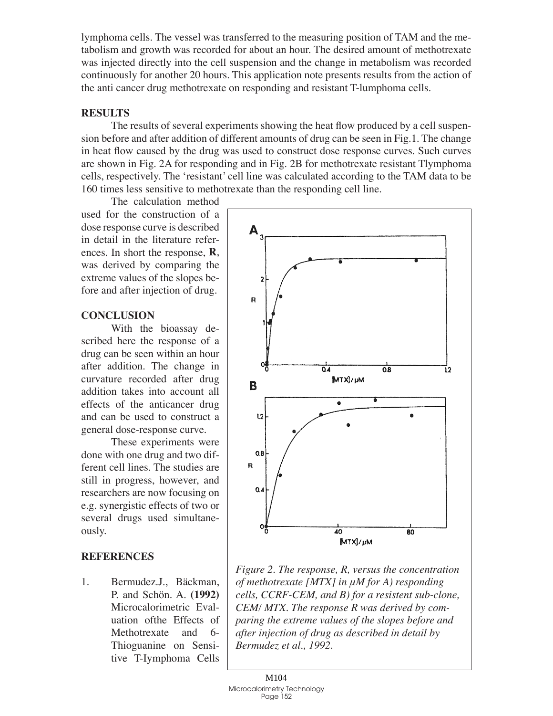lymphoma cells. The vessel was transferred to the measuring position of TAM and the metabolism and growth was recorded for about an hour. The desired amount of methotrexate was injected directly into the cell suspension and the change in metabolism was recorded continuously for another 20 hours. This application note presents results from the action of the anti cancer drug methotrexate on responding and resistant T-lumphoma cells.

#### **Results**

The results of several experiments showing the heat flow produced by a cell suspension before and after addition of different amounts of drug can be seen in Fig.1. The change in heat flow caused by the drug was used to construct dose response curves. Such curves are shown in Fig. 2A for responding and in Fig. 2B for methotrexate resistant Tlymphoma cells, respectively. The 'resistant' cell line was calculated according to the TAM data to be 160 times less sensitive to methotrexate than the responding cell line.

The calculation method used for the construction of a dose response curve is described in detail in the literature references. In short the response, **R**, was derived by comparing the extreme values of the slopes before and after injection of drug.

## **Conclusion**

With the bioassay described here the response of a drug can be seen within an hour after addition. The change in curvature recorded after drug addition takes into account all effects of the anticancer drug and can be used to construct a general dose-response curve.

These experiments were done with one drug and two different cell lines. The studies are still in progress, however, and researchers are now focusing on e.g. synergistic effects of two or several drugs used simultaneously.

## **References**

Bermudez.J., Bäckman, P. and Schön. A. **(1992)** Microcalorimetric Evaluation ofthe Effects of Methotrexate and 6- Thioguanine on Sensitive T-Iymphoma Cells 1.



*Figure 2. The response, R, versus the concentration of methotrexate [MTX] in μM for A) responding cells, CCRF-CEM, and B) for a resistent sub-clone, CEM/ MTX. The response R was derived by comparing the extreme values of the slopes before and after injection of drug as described in detail by Bermudez et al., 1992.*